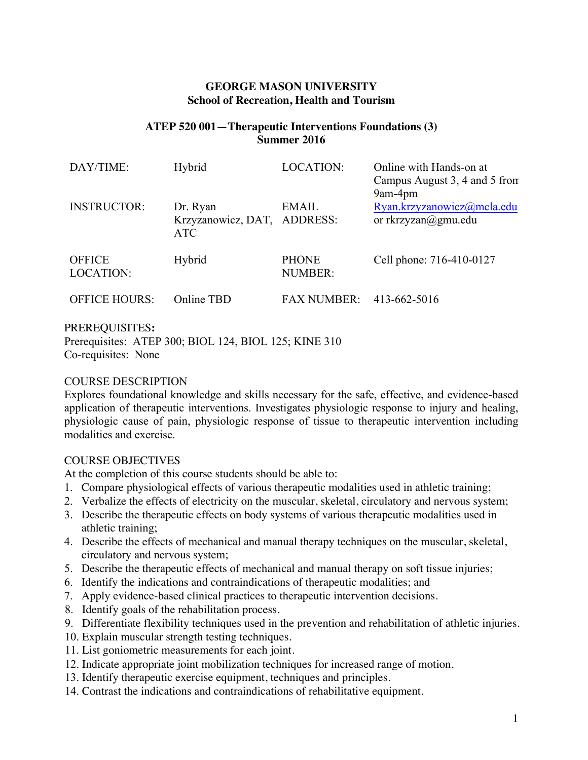## **GEORGE MASON UNIVERSITY School of Recreation, Health and Tourism**

## **ATEP 520 001—Therapeutic Interventions Foundations (3) Summer 2016**

| DAY/TIME:                         | Hybrid                                                | <b>LOCATION:</b>               | Online with Hands-on at<br>Campus August 3, 4 and 5 from<br>9am-4pm |
|-----------------------------------|-------------------------------------------------------|--------------------------------|---------------------------------------------------------------------|
| <b>INSTRUCTOR:</b>                | Dr. Ryan<br>Krzyzanowicz, DAT, ADDRESS:<br><b>ATC</b> | <b>EMAIL</b>                   | Ryan.krzyzanowicz@mcla.edu<br>or rkrzyzan@gmu.edu                   |
| <b>OFFICE</b><br><b>LOCATION:</b> | Hybrid                                                | <b>PHONE</b><br><b>NUMBER:</b> | Cell phone: 716-410-0127                                            |
| <b>OFFICE HOURS:</b>              | Online TBD                                            | <b>FAX NUMBER:</b>             | 413-662-5016                                                        |

#### PREREQUISITES**:**

Prerequisites: ATEP 300; BIOL 124, BIOL 125; KINE 310 Co-requisites: None

#### COURSE DESCRIPTION

Explores foundational knowledge and skills necessary for the safe, effective, and evidence-based application of therapeutic interventions. Investigates physiologic response to injury and healing, physiologic cause of pain, physiologic response of tissue to therapeutic intervention including modalities and exercise.

### COURSE OBJECTIVES

At the completion of this course students should be able to:

- 1. Compare physiological effects of various therapeutic modalities used in athletic training;
- 2. Verbalize the effects of electricity on the muscular, skeletal, circulatory and nervous system;
- 3. Describe the therapeutic effects on body systems of various therapeutic modalities used in athletic training;
- 4. Describe the effects of mechanical and manual therapy techniques on the muscular, skeletal, circulatory and nervous system;
- 5. Describe the therapeutic effects of mechanical and manual therapy on soft tissue injuries;
- 6. Identify the indications and contraindications of therapeutic modalities; and
- 7. Apply evidence-based clinical practices to therapeutic intervention decisions.
- 8. Identify goals of the rehabilitation process.
- 9. Differentiate flexibility techniques used in the prevention and rehabilitation of athletic injuries.
- 10. Explain muscular strength testing techniques.
- 11. List goniometric measurements for each joint.
- 12. Indicate appropriate joint mobilization techniques for increased range of motion.
- 13. Identify therapeutic exercise equipment, techniques and principles.
- 14. Contrast the indications and contraindications of rehabilitative equipment.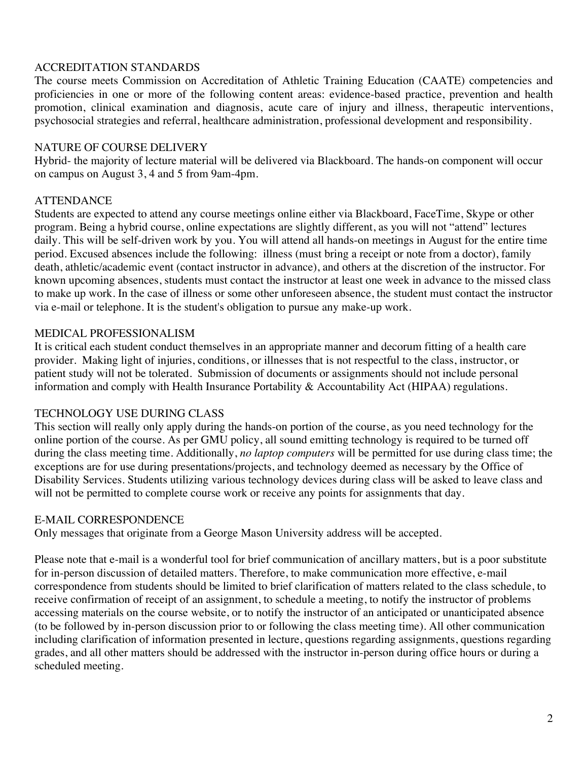## ACCREDITATION STANDARDS

The course meets Commission on Accreditation of Athletic Training Education (CAATE) competencies and proficiencies in one or more of the following content areas: evidence-based practice, prevention and health promotion, clinical examination and diagnosis, acute care of injury and illness, therapeutic interventions, psychosocial strategies and referral, healthcare administration, professional development and responsibility.

## NATURE OF COURSE DELIVERY

Hybrid- the majority of lecture material will be delivered via Blackboard. The hands-on component will occur on campus on August 3, 4 and 5 from 9am-4pm.

# **ATTENDANCE**

Students are expected to attend any course meetings online either via Blackboard, FaceTime, Skype or other program. Being a hybrid course, online expectations are slightly different, as you will not "attend" lectures daily. This will be self-driven work by you. You will attend all hands-on meetings in August for the entire time period. Excused absences include the following: illness (must bring a receipt or note from a doctor), family death, athletic/academic event (contact instructor in advance), and others at the discretion of the instructor. For known upcoming absences, students must contact the instructor at least one week in advance to the missed class to make up work. In the case of illness or some other unforeseen absence, the student must contact the instructor via e-mail or telephone. It is the student's obligation to pursue any make-up work.

# MEDICAL PROFESSIONALISM

It is critical each student conduct themselves in an appropriate manner and decorum fitting of a health care provider. Making light of injuries, conditions, or illnesses that is not respectful to the class, instructor, or patient study will not be tolerated. Submission of documents or assignments should not include personal information and comply with Health Insurance Portability & Accountability Act (HIPAA) regulations.

# TECHNOLOGY USE DURING CLASS

This section will really only apply during the hands-on portion of the course, as you need technology for the online portion of the course. As per GMU policy, all sound emitting technology is required to be turned off during the class meeting time. Additionally, *no laptop computers* will be permitted for use during class time; the exceptions are for use during presentations/projects, and technology deemed as necessary by the Office of Disability Services. Students utilizing various technology devices during class will be asked to leave class and will not be permitted to complete course work or receive any points for assignments that day.

# E-MAIL CORRESPONDENCE

Only messages that originate from a George Mason University address will be accepted.

Please note that e-mail is a wonderful tool for brief communication of ancillary matters, but is a poor substitute for in-person discussion of detailed matters. Therefore, to make communication more effective, e-mail correspondence from students should be limited to brief clarification of matters related to the class schedule, to receive confirmation of receipt of an assignment, to schedule a meeting, to notify the instructor of problems accessing materials on the course website, or to notify the instructor of an anticipated or unanticipated absence (to be followed by in-person discussion prior to or following the class meeting time). All other communication including clarification of information presented in lecture, questions regarding assignments, questions regarding grades, and all other matters should be addressed with the instructor in-person during office hours or during a scheduled meeting.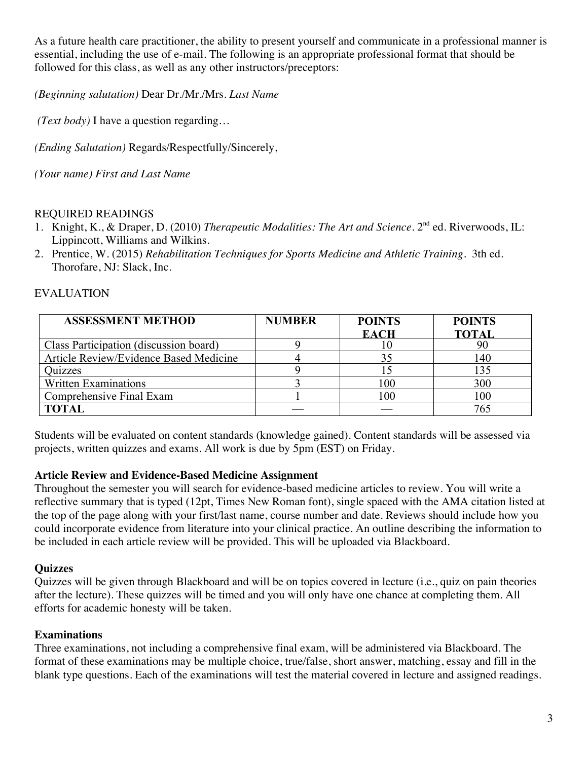As a future health care practitioner, the ability to present yourself and communicate in a professional manner is essential, including the use of e-mail. The following is an appropriate professional format that should be followed for this class, as well as any other instructors/preceptors:

*(Beginning salutation)* Dear Dr./Mr./Mrs. *Last Name*

*(Text body)* I have a question regarding…

*(Ending Salutation)* Regards/Respectfully/Sincerely,

*(Your name) First and Last Name*

## REQUIRED READINGS

- 1. Knight, K., & Draper, D. (2010) *Therapeutic Modalities: The Art and Science*. 2nd ed. Riverwoods, IL: Lippincott, Williams and Wilkins.
- 2. Prentice, W. (2015) *Rehabilitation Techniques for Sports Medicine and Athletic Training*. 3th ed. Thorofare, NJ: Slack, Inc.

## EVALUATION

| <b>ASSESSMENT METHOD</b>               | <b>NUMBER</b> | <b>POINTS</b> | <b>POINTS</b> |
|----------------------------------------|---------------|---------------|---------------|
|                                        |               | <b>EACH</b>   | <b>TOTAI</b>  |
| Class Participation (discussion board) |               |               |               |
| Article Review/Evidence Based Medicine |               |               | 140           |
| Ouizzes                                |               |               | 135           |
| <b>Written Examinations</b>            |               | 100           | 300           |
| Comprehensive Final Exam               |               | 100           | 100           |
| ГОТАІ                                  |               |               |               |

Students will be evaluated on content standards (knowledge gained). Content standards will be assessed via projects, written quizzes and exams. All work is due by 5pm (EST) on Friday.

### **Article Review and Evidence-Based Medicine Assignment**

Throughout the semester you will search for evidence-based medicine articles to review. You will write a reflective summary that is typed (12pt, Times New Roman font), single spaced with the AMA citation listed at the top of the page along with your first/last name, course number and date. Reviews should include how you could incorporate evidence from literature into your clinical practice. An outline describing the information to be included in each article review will be provided. This will be uploaded via Blackboard.

### **Quizzes**

Quizzes will be given through Blackboard and will be on topics covered in lecture (i.e., quiz on pain theories after the lecture). These quizzes will be timed and you will only have one chance at completing them. All efforts for academic honesty will be taken.

### **Examinations**

Three examinations, not including a comprehensive final exam, will be administered via Blackboard. The format of these examinations may be multiple choice, true/false, short answer, matching, essay and fill in the blank type questions. Each of the examinations will test the material covered in lecture and assigned readings.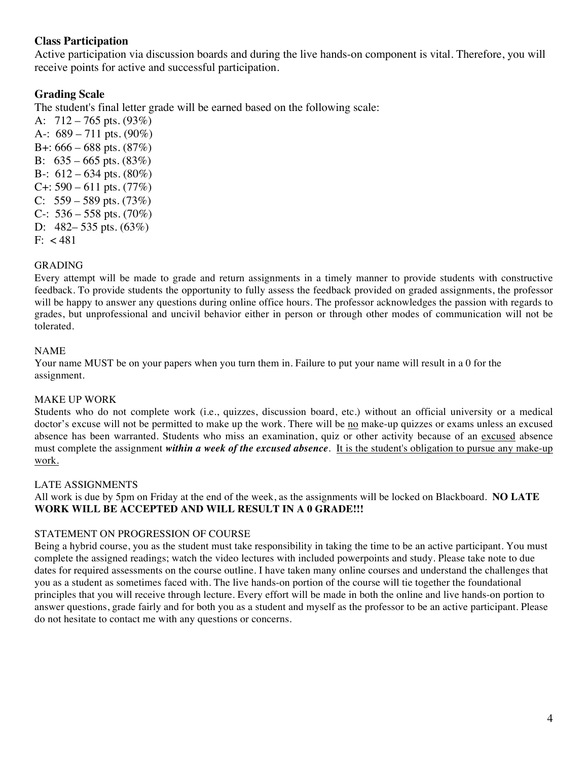## **Class Participation**

Active participation via discussion boards and during the live hands-on component is vital. Therefore, you will receive points for active and successful participation.

## **Grading Scale**

The student's final letter grade will be earned based on the following scale:

A:  $712 - 765$  pts.  $(93\%)$ A-:  $689 - 711$  pts.  $(90\%)$ B+:  $666 - 688$  pts.  $(87%)$ B:  $635 - 665$  pts.  $(83\%)$ B-:  $612 - 634$  pts.  $(80\%)$  $C_{+}$ : 590 – 611 pts. (77%) C:  $559 - 589$  pts.  $(73%)$ C-:  $536 - 558$  pts. (70%) D: 482– 535 pts. (63%)  $F: < 481$ 

#### GRADING

Every attempt will be made to grade and return assignments in a timely manner to provide students with constructive feedback. To provide students the opportunity to fully assess the feedback provided on graded assignments, the professor will be happy to answer any questions during online office hours. The professor acknowledges the passion with regards to grades, but unprofessional and uncivil behavior either in person or through other modes of communication will not be tolerated.

#### NAME

Your name MUST be on your papers when you turn them in. Failure to put your name will result in a 0 for the assignment.

#### MAKE UP WORK

Students who do not complete work (i.e., quizzes, discussion board, etc.) without an official university or a medical doctor's excuse will not be permitted to make up the work. There will be no make-up quizzes or exams unless an excused absence has been warranted. Students who miss an examination, quiz or other activity because of an excused absence must complete the assignment *within a week of the excused absence*. It is the student's obligation to pursue any make-up work.

#### LATE ASSIGNMENTS

All work is due by 5pm on Friday at the end of the week, as the assignments will be locked on Blackboard. **NO LATE WORK WILL BE ACCEPTED AND WILL RESULT IN A 0 GRADE!!!**

### STATEMENT ON PROGRESSION OF COURSE

Being a hybrid course, you as the student must take responsibility in taking the time to be an active participant. You must complete the assigned readings; watch the video lectures with included powerpoints and study. Please take note to due dates for required assessments on the course outline. I have taken many online courses and understand the challenges that you as a student as sometimes faced with. The live hands-on portion of the course will tie together the foundational principles that you will receive through lecture. Every effort will be made in both the online and live hands-on portion to answer questions, grade fairly and for both you as a student and myself as the professor to be an active participant. Please do not hesitate to contact me with any questions or concerns.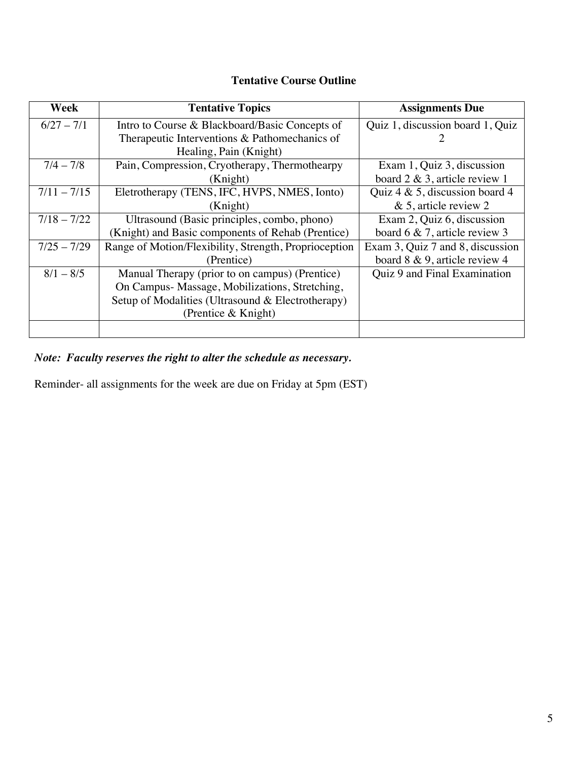# **Tentative Course Outline**

| Week          | <b>Tentative Topics</b>                               | <b>Assignments Due</b>             |
|---------------|-------------------------------------------------------|------------------------------------|
| $6/27 - 7/1$  | Intro to Course & Blackboard/Basic Concepts of        | Quiz 1, discussion board 1, Quiz   |
|               | Therapeutic Interventions & Pathomechanics of         |                                    |
|               | Healing, Pain (Knight)                                |                                    |
| $7/4 - 7/8$   | Pain, Compression, Cryotherapy, Thermothearpy         | Exam 1, Quiz 3, discussion         |
|               | (Knight)                                              | board $2 \& 3$ , article review 1  |
| $7/11 - 7/15$ | Eletrotherapy (TENS, IFC, HVPS, NMES, Ionto)          | Quiz $4 \& 5$ , discussion board 4 |
|               | (Knight)                                              | $& 5$ , article review 2           |
| $7/18 - 7/22$ | Ultrasound (Basic principles, combo, phono)           | Exam 2, Quiz 6, discussion         |
|               | (Knight) and Basic components of Rehab (Prentice)     | board 6 $\&$ 7, article review 3   |
| $7/25 - 7/29$ | Range of Motion/Flexibility, Strength, Proprioception | Exam 3, Quiz 7 and 8, discussion   |
|               | (Prentice)                                            | board 8 & 9, article review 4      |
| $8/1 - 8/5$   | Manual Therapy (prior to on campus) (Prentice)        | Quiz 9 and Final Examination       |
|               | On Campus- Massage, Mobilizations, Stretching,        |                                    |
|               | Setup of Modalities (Ultrasound & Electrotherapy)     |                                    |
|               | (Prentice & Knight)                                   |                                    |
|               |                                                       |                                    |

*Note: Faculty reserves the right to alter the schedule as necessary.*

Reminder- all assignments for the week are due on Friday at 5pm (EST)